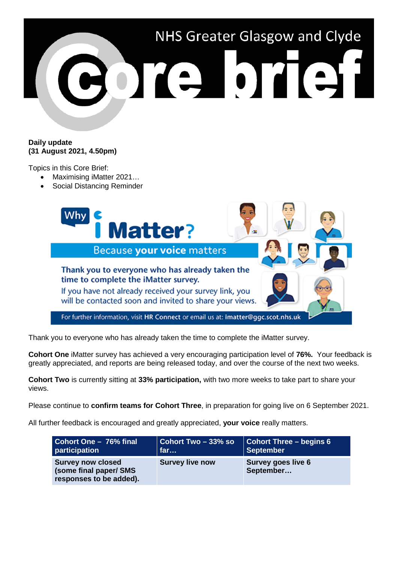

## **Daily update (31 August 2021, 4.50pm)**

Topics in this Core Brief:

- Maximising iMatter 2021…
- Social Distancing Reminder



Thank you to everyone who has already taken the time to complete the iMatter survey.

**Cohort One** iMatter survey has achieved a very encouraging participation level of **76%.** Your feedback is greatly appreciated, and reports are being released today, and over the course of the next two weeks.

**Cohort Two** is currently sitting at **33% participation,** with two more weeks to take part to share your views.

Please continue to **confirm teams for Cohort Three**, in preparation for going live on 6 September 2021.

All further feedback is encouraged and greatly appreciated, **your voice** really matters.

| Cohort One - 76% final                                                        | $\vert$ Cohort Two – 33% so | <b>Cohort Three - begins 6</b>  |
|-------------------------------------------------------------------------------|-----------------------------|---------------------------------|
| participation                                                                 | far                         | <b>September</b>                |
| <b>Survey now closed</b><br>(some final paper/ SMS<br>responses to be added). | <b>Survey live now</b>      | Survey goes live 6<br>September |